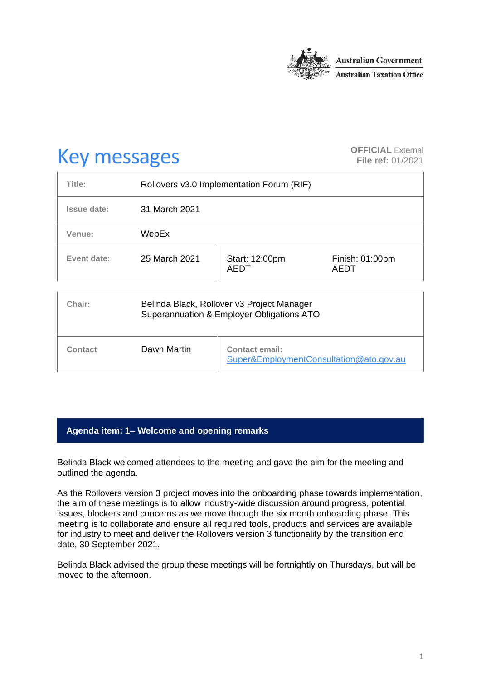

# **Key messages OFFICIAL** External **CHECK OFFICIAL** External

**File ref:** 01/2021

| Title:      | Rollovers v3.0 Implementation Forum (RIF) |                               |                                |
|-------------|-------------------------------------------|-------------------------------|--------------------------------|
| Issue date: | 31 March 2021                             |                               |                                |
| Venue:      | WebEx                                     |                               |                                |
| Event date: | 25 March 2021                             | Start: 12:00pm<br><b>AEDT</b> | Finish: 01:00pm<br><b>AEDT</b> |

| Chair:  | Belinda Black, Rollover v3 Project Manager<br>Superannuation & Employer Obligations ATO |                                                           |  |
|---------|-----------------------------------------------------------------------------------------|-----------------------------------------------------------|--|
| Contact | Dawn Martin                                                                             | Contact email:<br>Super&EmploymentConsultation@ato.gov.au |  |

# **Agenda item: 1– Welcome and opening remarks**

Belinda Black welcomed attendees to the meeting and gave the aim for the meeting and outlined the agenda.

As the Rollovers version 3 project moves into the onboarding phase towards implementation, the aim of these meetings is to allow industry-wide discussion around progress, potential issues, blockers and concerns as we move through the six month onboarding phase. This meeting is to collaborate and ensure all required tools, products and services are available for industry to meet and deliver the Rollovers version 3 functionality by the transition end date, 30 September 2021.

Belinda Black advised the group these meetings will be fortnightly on Thursdays, but will be moved to the afternoon.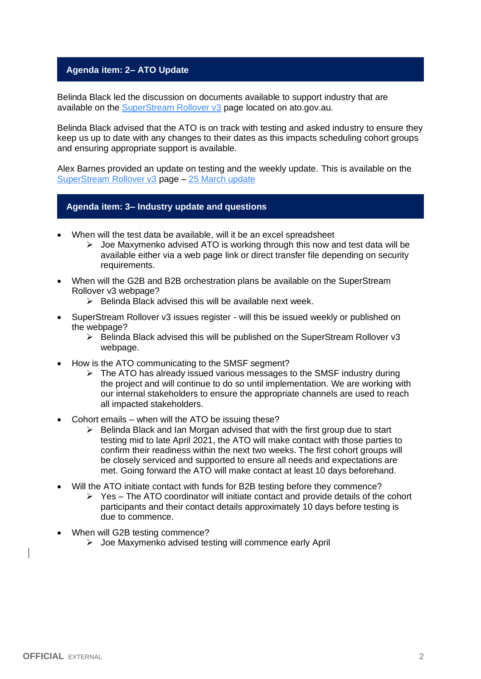## **Agenda item: 2– ATO Update**

Belinda Black led the discussion on documents available to support industry that are available on the [SuperStream Rollover v3](https://www.ato.gov.au/Super/Sup/SuperStream-Rollover-v3/?=redirected_rolloverv3) page located on ato.gov.au.

Belinda Black advised that the ATO is on track with testing and asked industry to ensure they keep us up to date with any changes to their dates as this impacts scheduling cohort groups and ensuring appropriate support is available.

Alex Barnes provided an update on testing and the weekly update. This is available on the [SuperStream Rollover v3](https://www.ato.gov.au/Super/Sup/SuperStream-Rollover-v3/?=redirected_rolloverv3) page – [25 March update](https://www.ato.gov.au/uploadedFiles/Content/SPR/downloads/25_March_2021.pdf)

### **Agenda item: 3– Industry update and questions**

- When will the test data be available, will it be an excel spreadsheet
	- $\triangleright$  Joe Maxymenko advised ATO is working through this now and test data will be available either via a web page link or direct transfer file depending on security requirements.
- When will the G2B and B2B orchestration plans be available on the SuperStream Rollover v3 webpage?
	- $\triangleright$  Belinda Black advised this will be available next week.
- SuperStream Rollover v3 issues register will this be issued weekly or published on the webpage?
	- ➢ Belinda Black advised this will be published on the SuperStream Rollover v3 webpage.
- How is the ATO communicating to the SMSF segment?
	- ➢ The ATO has already issued various messages to the SMSF industry during the project and will continue to do so until implementation. We are working with our internal stakeholders to ensure the appropriate channels are used to reach all impacted stakeholders.
- Cohort emails when will the ATO be issuing these?
	- ➢ Belinda Black and Ian Morgan advised that with the first group due to start testing mid to late April 2021, the ATO will make contact with those parties to confirm their readiness within the next two weeks. The first cohort groups will be closely serviced and supported to ensure all needs and expectations are met. Going forward the ATO will make contact at least 10 days beforehand.
- Will the ATO initiate contact with funds for B2B testing before they commence?
	- $\triangleright$  Yes The ATO coordinator will initiate contact and provide details of the cohort participants and their contact details approximately 10 days before testing is due to commence.
- When will G2B testing commence?
	- ➢ Joe Maxymenko advised testing will commence early April